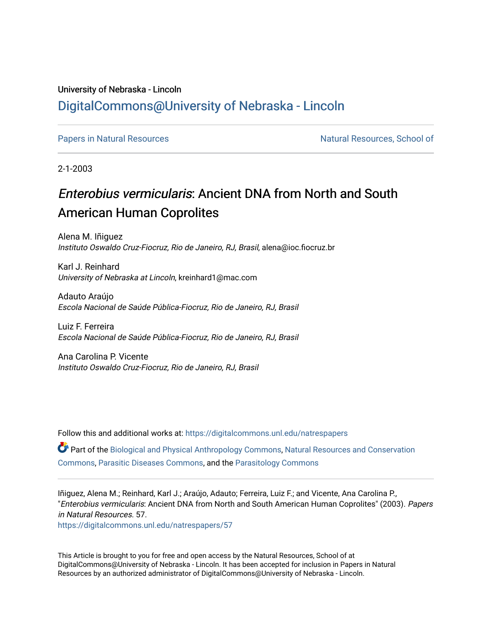## University of Nebraska - Lincoln [DigitalCommons@University of Nebraska - Lincoln](https://digitalcommons.unl.edu/)

[Papers in Natural Resources](https://digitalcommons.unl.edu/natrespapers) Natural Resources, School of

2-1-2003

## Enterobius vermicularis: Ancient DNA from North and South American Human Coprolites

Alena M. Iñiguez Instituto Oswaldo Cruz-Fiocruz, Rio de Janeiro, RJ, Brasil, alena@ioc.fiocruz.br

Karl J. Reinhard University of Nebraska at Lincoln, kreinhard1@mac.com

Adauto Araújo Escola Nacional de Saúde Pública-Fiocruz, Rio de Janeiro, RJ, Brasil

Luiz F. Ferreira Escola Nacional de Saúde Pública-Fiocruz, Rio de Janeiro, RJ, Brasil

Ana Carolina P. Vicente Instituto Oswaldo Cruz-Fiocruz, Rio de Janeiro, RJ, Brasil

Follow this and additional works at: [https://digitalcommons.unl.edu/natrespapers](https://digitalcommons.unl.edu/natrespapers?utm_source=digitalcommons.unl.edu%2Fnatrespapers%2F57&utm_medium=PDF&utm_campaign=PDFCoverPages) Part of the [Biological and Physical Anthropology Commons](http://network.bepress.com/hgg/discipline/320?utm_source=digitalcommons.unl.edu%2Fnatrespapers%2F57&utm_medium=PDF&utm_campaign=PDFCoverPages), [Natural Resources and Conservation](http://network.bepress.com/hgg/discipline/168?utm_source=digitalcommons.unl.edu%2Fnatrespapers%2F57&utm_medium=PDF&utm_campaign=PDFCoverPages)  [Commons](http://network.bepress.com/hgg/discipline/168?utm_source=digitalcommons.unl.edu%2Fnatrespapers%2F57&utm_medium=PDF&utm_campaign=PDFCoverPages), [Parasitic Diseases Commons,](http://network.bepress.com/hgg/discipline/983?utm_source=digitalcommons.unl.edu%2Fnatrespapers%2F57&utm_medium=PDF&utm_campaign=PDFCoverPages) and the [Parasitology Commons](http://network.bepress.com/hgg/discipline/39?utm_source=digitalcommons.unl.edu%2Fnatrespapers%2F57&utm_medium=PDF&utm_campaign=PDFCoverPages) 

Iñiguez, Alena M.; Reinhard, Karl J.; Araújo, Adauto; Ferreira, Luiz F.; and Vicente, Ana Carolina P., "Enterobius vermicularis: Ancient DNA from North and South American Human Coprolites" (2003). Papers in Natural Resources. 57.

[https://digitalcommons.unl.edu/natrespapers/57](https://digitalcommons.unl.edu/natrespapers/57?utm_source=digitalcommons.unl.edu%2Fnatrespapers%2F57&utm_medium=PDF&utm_campaign=PDFCoverPages) 

This Article is brought to you for free and open access by the Natural Resources, School of at DigitalCommons@University of Nebraska - Lincoln. It has been accepted for inclusion in Papers in Natural Resources by an authorized administrator of DigitalCommons@University of Nebraska - Lincoln.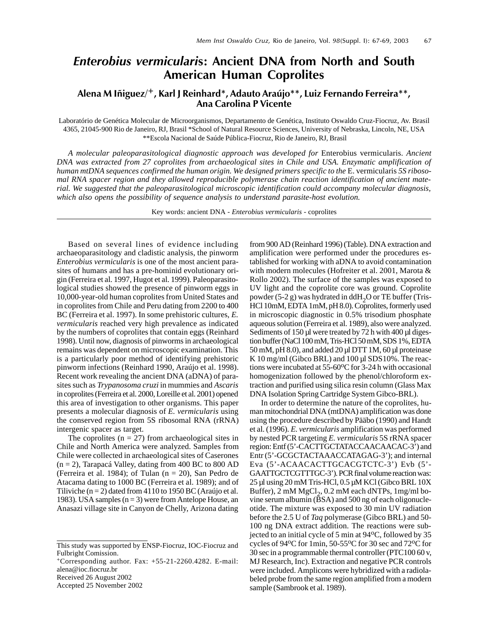## Enterobius vermicularis: Ancient DNA from North and South American Human Coprolites

Alena M Iñiguez/+, Karl J Reinhard\*, Adauto Araújo\*\*, Luiz Fernando Ferreira\*\*, Ana Carolina P Vicente

Laboratório de Genética Molecular de Microorganismos, Departamento de Genética, Instituto Oswaldo Cruz-Fiocruz, Av. Brasil 4365, 21045-900 Rio de Janeiro, RJ, Brasil \*School of Natural Resource Sciences, University of Nebraska, Lincoln, NE, USA \*\*Escola Nacional de Saúde Pública-Fiocruz, Rio de Janeiro, RJ, Brasil

*A molecular paleoparasitological diagnostic approach was developed for* Enterobius vermicularis. *Ancient DNA was extracted from 27 coprolites from archaeological sites in Chile and USA. Enzymatic amplification of human mtDNA sequences confirmed the human origin. We designed primers specific to the* E. vermicularis *5S ribosomal RNA spacer region and they allowed reproducible polymerase chain reaction identification of ancient material. We suggested that the paleoparasitological microscopic identification could accompany molecular diagnosis, which also opens the possibility of sequence analysis to understand parasite-host evolution.*

Key words: ancient DNA - *Enterobius vermicularis* - coprolites

Based on several lines of evidence including archaeoparasitology and cladistic analysis, the pinworm *Enterobius vermicularis* is one of the most ancient parasites of humans and has a pre-hominid evolutionary origin (Ferreira et al. 1997, Hugot et al. 1999). Paleoparasitological studies showed the presence of pinworm eggs in 10,000-year-old human coprolites from United States and in coprolites from Chile and Peru dating from 2200 to 400 BC (Ferreira et al. 1997). In some prehistoric cultures, *E. vermicularis* reached very high prevalence as indicated by the numbers of coprolites that contain eggs (Reinhard 1998). Until now, diagnosis of pinworms in archaeological remains was dependent on microscopic examination. This is a particularly poor method of identifying prehistoric pinworm infections (Reinhard 1990, Araújo et al. 1998). Recent work revealing the ancient DNA (aDNA) of parasites such as *Trypanosoma cruzi* in mummies and *Ascaris* in coprolites (Ferreira et al. 2000, Loreille et al. 2001) opened this area of investigation to other organisms. This paper presents a molecular diagnosis of *E. vermicularis* using the conserved region from 5S ribosomal RNA (rRNA) intergenic spacer as target.

The coprolites  $(n = 27)$  from archaeological sites in Chile and North America were analyzed. Samples from Chile were collected in archaeological sites of Caserones  $(n = 2)$ , Tarapacá Valley, dating from 400 BC to 800 AD (Ferreira et al. 1984); of Tulan (n = 20), San Pedro de Atacama dating to 1000 BC (Ferreira et al. 1989); and of Tiliviche (n = 2) dated from 4110 to 1950 BC (Araújo et al. 1983). USA samples  $(n = 3)$  were from Antelope House, an Anasazi village site in Canyon de Chelly, Arizona dating

Received 26 August 2002

Accepted 25 November 2002

from 900 AD (Reinhard 1996) (Table). DNA extraction and amplification were performed under the procedures established for working with aDNA to avoid contamination with modern molecules (Hofreiter et al. 2001, Marota & Rollo 2002). The surface of the samples was exposed to UV light and the coprolite core was ground. Coprolite powder (5-2 g) was hydrated in ddH<sub>2</sub>O or TE buffer (Tris-HCl 10mM, EDTA 1mM, pH 8.0). Coprolites, formerly used in microscopic diagnostic in 0.5% trisodium phosphate aqueous solution (Ferreira et al. 1989), also were analyzed. Sediments of 150 µl were treated by 72 h with 400 µl digestion buffer (NaCl 100 mM, Tris-HCl 50 mM, SDS 1%, EDTA 50 mM, pH 8.0), and added 20 µl DTT 1M, 60 µl proteinase K 10 mg/ml (Gibco BRL) and 100 µl SDS10%. The reactions were incubated at  $55{\text -}60^{\circ}$ C for 3-24 h with occasional homogenization followed by the phenol/chloroform extraction and purified using silica resin column (Glass Max DNA Isolation Spring Cartridge System Gibco-BRL).

In order to determine the nature of the coprolites, human mitochondrial DNA (mtDNA) amplification was done using the procedure described by Pääbo (1990) and Handt et al. (1996). *E. vermicularis* amplification was performed by nested PCR targeting *E. vermicularis* 5S rRNA spacer region: Entf (5'-CACTTGCTATACCAACAACAC-3') and Entr (5'-GCGCTACTAAACCATAGAG-3'); and internal Eva (5'-ACAACACTTGCACGTCTC-3') Evb (5'- GAATTGCTCGTTTGC-3'). PCR final volume reaction was: 25 µl using 20 mM Tris-HCl, 0.5 µM KCl (Gibco BRL 10X Buffer),  $2 \text{ mM } MgCl<sub>2</sub>$ ,  $0.2 \text{ mM }$  each dNTPs,  $1 \text{ mg/ml }$  bovine serum albumin (BSA) and 500 ng of each oligonucleotide. The mixture was exposed to 30 min UV radiation before the 2.5 U of *Taq* polymerase (Gibco BRL) and 50- 100 ng DNA extract addition. The reactions were subjected to an initial cycle of 5 min at  $94^{\circ}$ C, followed by 35 cycles of 94 $\rm ^{0}C$  for 1min, 50-55 $\rm ^{0}C$  for 30 sec and 72 $\rm ^{0}C$  for 30 sec in a programmable thermal controller (PTC100 60 v, MJ Research, Inc). Extraction and negative PCR controls were included. Amplicons were hybridized with a radiolabeled probe from the same region amplified from a modern sample (Sambrook et al. 1989).

This study was supported by ENSP-Fiocruz, IOC-Fiocruz and Fulbright Comission.

 $+$ Corresponding author. Fax:  $+55-21-2260.4282$ . E-mail: alena@ioc.fiocruz.br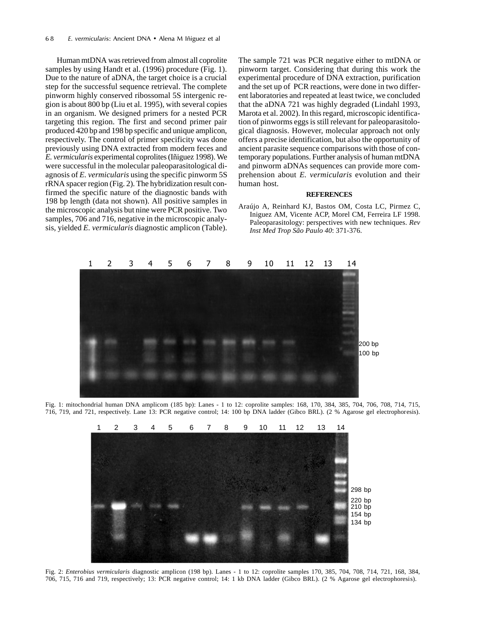Human mtDNA was retrieved from almost all coprolite samples by using Handt et al. (1996) procedure (Fig. 1). Due to the nature of aDNA, the target choice is a crucial step for the successful sequence retrieval. The complete pinworm highly conserved ribossomal 5S intergenic region is about 800 bp (Liu et al. 1995), with several copies in an organism. We designed primers for a nested PCR targeting this region. The first and second primer pair produced 420 bp and 198 bp specific and unique amplicon, respectively. The control of primer specificity was done previously using DNA extracted from modern feces and *E. vermicularis* experimental coprolites (Iñiguez 1998). We were successful in the molecular paleoparasitological diagnosis of *E. vermicularis* using the specific pinworm 5S rRNA spacer region (Fig. 2). The hybridization result confirmed the specific nature of the diagnostic bands with 198 bp length (data not shown). All positive samples in the microscopic analysis but nine were PCR positive. Two samples, 706 and 716, negative in the microscopic analysis, yielded *E. vermicularis* diagnostic amplicon (Table). The sample 721 was PCR negative either to mtDNA or pinworm target. Considering that during this work the experimental procedure of DNA extraction, purification and the set up of PCR reactions, were done in two different laboratories and repeated at least twice, we concluded that the aDNA 721 was highly degraded (Lindahl 1993, Marota et al. 2002). In this regard, microscopic identification of pinworms eggs is still relevant for paleoparasitological diagnosis. However, molecular approach not only offers a precise identification, but also the opportunity of ancient parasite sequence comparisons with those of contemporary populations. Further analysis of human mtDNA and pinworm aDNAs sequences can provide more comprehension about *E. vermicularis* evolution and their human host.

## **REFERENCES**

Araújo A, Reinhard KJ, Bastos OM, Costa LC, Pirmez C, Iniguez AM, Vicente ACP, Morel CM, Ferreira LF 1998. Paleoparasitology: perspectives with new techniques. *Rev Inst Med Trop São Paulo 40*: 371-376.



Fig. 1: mitochondrial human DNA amplicom (185 bp): Lanes - 1 to 12: coprolite samples: 168, 170, 384, 385, 704, 706, 708, 714, 715, 716, 719, and 721, respectively. Lane 13: PCR negative control; 14: 100 bp DNA ladder (Gibco BRL). (2 % Agarose gel electrophoresis).



Fig. 2: *Enterobius vermicularis* diagnostic amplicon (198 bp). Lanes - 1 to 12: coprolite samples 170, 385, 704, 708, 714, 721, 168, 384, 706, 715, 716 and 719, respectively; 13: PCR negative control; 14: 1 kb DNA ladder (Gibco BRL). (2 % Agarose gel electrophoresis).